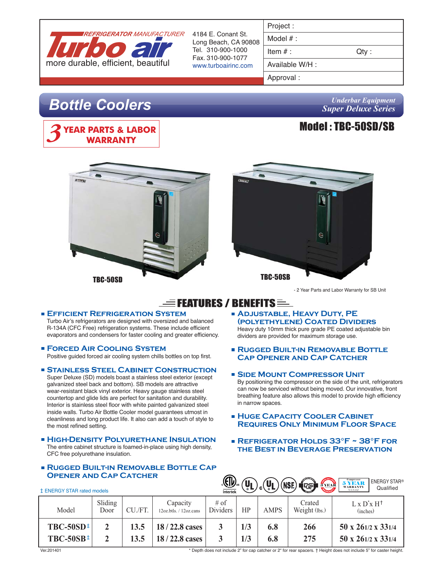

4184 E. Conant St. Long Beach, CA 90808 Tel. 310-900-1000 Fax. 310-900-1077 www.turboairinc.com

| Project |  |
|---------|--|
|         |  |

Model # :

Item  $#$  :  $Qty$  :

Available W/H :

Approval :

# *Bottle Coolers*



## *Underbar Equipment Super Deluxe Series*







- 2 Year Parts and Labor Warranty for SB Unit

# $\equiv$  Features / Benefits  $\equiv$

## **Efficient Refrigeration System**

Turbo Air's refrigerators are designed with oversized and balanced R-134A (CFC Free) refrigeration systems. These include efficient evaporators and condensers for faster cooling and greater efficiency.

## **Forced Air Cooling System**

Positive guided forced air cooling system chills bottles on top first.

## **Stainless Steel Cabinet Construction**

Super Deluxe (SD) models boast a stainless steel exterior (except galvanized steel back and bottom). SB models are attractive wear-resistant black vinyl exterior. Heavy gauge stainless steel countertop and glide lids are perfect for sanitation and durability. Interior is stainless steel floor with white painted galvanized steel inside walls. Turbo Air Bottle Cooler model guarantees utmost in cleanliness and long product life. It also can add a touch of style to the most refined setting.

#### **High-Density Polyurethane Insulation** The entire cabinet structure is foamed-in-place using high density, CFC free polyurethane insulation.

## **Rugged Built-in Removable Bottle Cap OPENER AND CAP CATCHER**

- **Adjustable, Heavy Duty, PE (polyethylene) Coated Dividers** Heavy duty 10mm thick pure grade PE coated adjustable bin dividers are provided for maximum storage use.
- **Rugged Built-in Removable Bottle Cap Opener and Cap Catcher**
- **Side Mount Compressor Unit** By positioning the compressor on the side of the unit, refrigerators can now be serviced without being moved. Our innovative, front breathing feature also allows this model to provide high efficiency in narrow spaces.
- **HUGE CAPACITY COOLER CABINET Requires Only Minimum Floor Space**
- **Refrigerator Holds 33°F ~ 38°F for the Best in Beverage Preservation**

| .رلا∐ي<br>5 YEAR<br><b>ENERGY STAR®</b><br>$\mathbf{u}_{\mathbf{L}}$<br>(NSF)<br>$\frac{1}{2}$<br><b>WARRANTY</b><br>Qualified<br>(U.S.A. only)<br><b>‡ ENERGY STAR rated models</b><br>Intertek |                 |              |                                    |                    |            |             |                         |                                               |
|--------------------------------------------------------------------------------------------------------------------------------------------------------------------------------------------------|-----------------|--------------|------------------------------------|--------------------|------------|-------------|-------------------------|-----------------------------------------------|
| Model                                                                                                                                                                                            | Sliding<br>Door | CU./FT       | Capacity<br>12oz.btls. / 12oz.cans | $#$ of<br>Dividers | HP         | <b>AMPS</b> | Crated<br>Weight (lbs.) | $L \times D^* \times H^{\dagger}$<br>(inches) |
| $TBC-50SD^{\pm}$<br>$TBC-50SB^{\pm}$                                                                                                                                                             |                 | 13.5<br>13.5 | 18/22.8 cases<br>18/22.8 cases     |                    | 1/3<br>1/3 | 6.8<br>6.8  | 266<br>275              | 50 x 261/2 x 331/4<br>50 x 261/2 x 331/4      |

\* Depth does not include 2" for cap catcher or 2" for rear spacers. † Height does not include 5" for caster height.